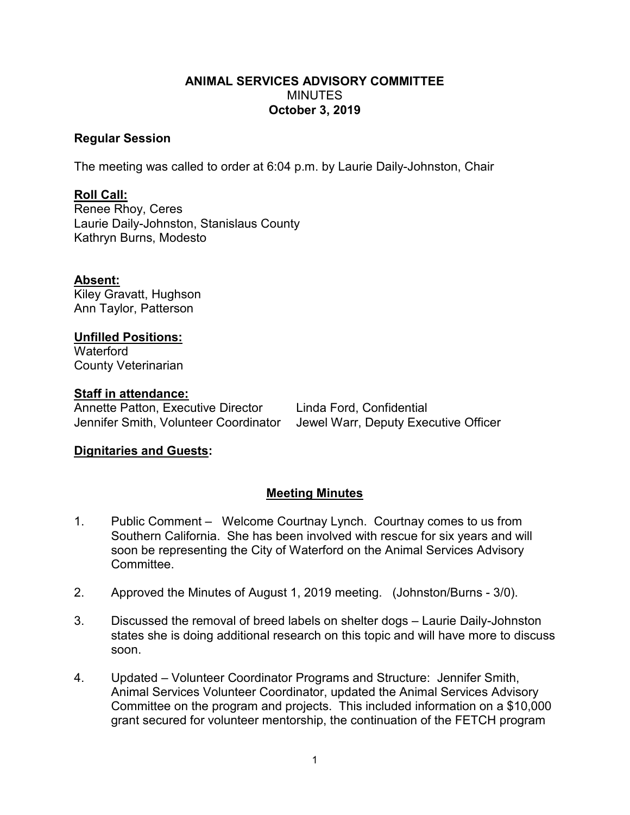#### **ANIMAL SERVICES ADVISORY COMMITTEE** MINUTES **October 3, 2019**

#### **Regular Session**

The meeting was called to order at 6:04 p.m. by Laurie Daily-Johnston, Chair

# **Roll Call:**

Renee Rhoy, Ceres Laurie Daily-Johnston, Stanislaus County Kathryn Burns, Modesto

### **Absent:**

Kiley Gravatt, Hughson Ann Taylor, Patterson

# **Unfilled Positions:**

**Waterford** County Veterinarian

### **Staff in attendance:**

Annette Patton, Executive Director Linda Ford, Confidential

Jennifer Smith, Volunteer Coordinator Jewel Warr, Deputy Executive Officer

## **Dignitaries and Guests:**

## **Meeting Minutes**

- 1. Public Comment Welcome Courtnay Lynch. Courtnay comes to us from Southern California. She has been involved with rescue for six years and will soon be representing the City of Waterford on the Animal Services Advisory Committee.
- 2. Approved the Minutes of August 1, 2019 meeting. (Johnston/Burns 3/0).
- 3. Discussed the removal of breed labels on shelter dogs Laurie Daily-Johnston states she is doing additional research on this topic and will have more to discuss soon.
- 4. Updated Volunteer Coordinator Programs and Structure: Jennifer Smith, Animal Services Volunteer Coordinator, updated the Animal Services Advisory Committee on the program and projects. This included information on a \$10,000 grant secured for volunteer mentorship, the continuation of the FETCH program